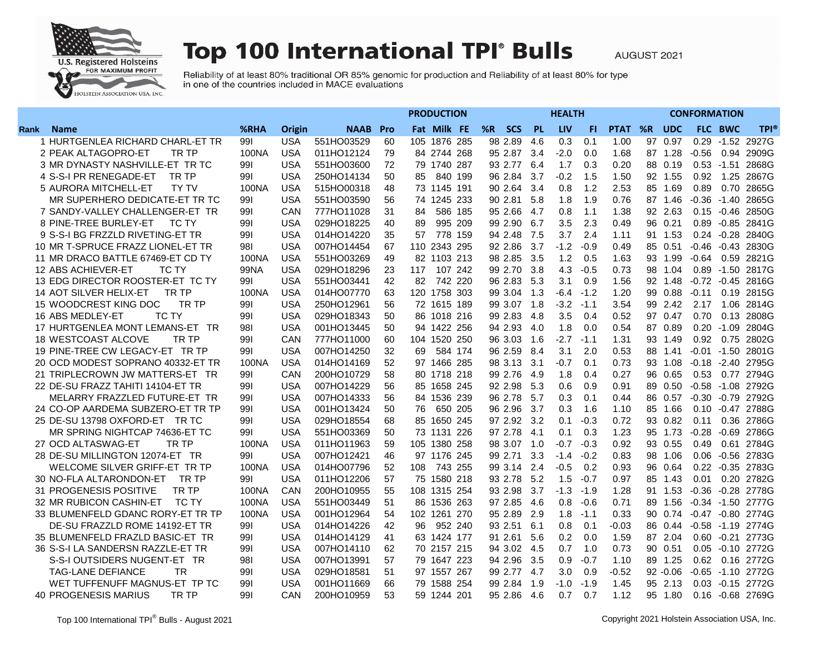

## **Top 100 International TPI° Bulls**

AUGUST 2021

Reliability of at least 80% traditional OR 85% genomic for production and Reliability of at least 80% for type in one of the countries included in MACE evaluations

|                                      |             |            |             | <b>PRODUCTION</b> |                 |         |             |       |            | <b>CONFORMATION</b> |             |    |             |         |                |                       |
|--------------------------------------|-------------|------------|-------------|-------------------|-----------------|---------|-------------|-------|------------|---------------------|-------------|----|-------------|---------|----------------|-----------------------|
| Rank<br><b>Name</b>                  | %RHA        | Origin     | <b>NAAB</b> | <b>Pro</b>        | Fat Milk FE     |         | %R SCS      | - PL  | <b>LIV</b> | FL.                 | <b>PTAT</b> |    | %R UDC      |         | <b>FLC BWC</b> | <b>TPI®</b>           |
| 1 HURTGENLEA RICHARD CHARL-ET TR     | 991         | <b>USA</b> | 551HO03529  | 60                | 105 1876 285    |         | 98 2.89     | 4.6   | 0.3        | 0.1                 | 1.00        | 97 | 0.97        |         |                | 0.29 -1.52 2927G      |
| 2 PEAK ALTAGOPRO-ET<br>TR TP         | 100NA       | <b>USA</b> | 011HO12124  | 79                | 84 2744 268     |         | 95 2.87     | 3.4   | $-2.0$     | 0.0                 | 1.68        |    | 87 1.28     | $-0.56$ |                | 0.94 2909G            |
| 3 MR DYNASTY NASHVILLE-ET TR TC      | 991         | <b>USA</b> | 551HO03600  | 72                | 79 1740 287     |         | 93 2.77     | 6.4   | 1.7        | 0.3                 | 0.20        |    | 88 0.19     |         |                | 0.53 -1.51 2868G      |
| 4 S-S-I PR RENEGADE-ET<br>TR TP      | 991         | <b>USA</b> | 250HO14134  | 50                | 85              | 840 199 | 96 2.84     | 3.7   | $-0.2$     | 1.5                 | 1.50        |    | 92 1.55     | 0.92    |                | 1.25 2867G            |
| 5 AURORA MITCHELL-ET<br><b>TY TV</b> | 100NA       | <b>USA</b> | 515HO00318  | 48                | 73 1145 191     |         | 90 2.64     | 3.4   | 0.8        | 1.2                 | 2.53        |    | 85 1.69     | 0.89    | 0.70           | 2865G                 |
| MR SUPERHERO DEDICATE-ET TR TC       | 991         | <b>USA</b> | 551HO03590  | 56                | 74 1245 233     |         | 90 2.81     | 5.8   | 1.8        | 1.9                 | 0.76        |    | 87 1.46     |         |                | -0.36 -1.40 2865G     |
| 7 SANDY-VALLEY CHALLENGER-ET TR      | 991         | CAN        | 777HO11028  | 31                | 84              | 586 185 | 95 2.66     | -4.7  | 0.8        | 1.1                 | 1.38        |    | 92 2.63     |         |                | 0.15 -0.46 2850G      |
| 8 PINE-TREE BURLEY-ET<br>TC TY       | 991         | <b>USA</b> | 029HO18225  | 40                | 89              | 995 209 | 99 2.90     | 6.7   | 3.5        | 2.3                 | 0.49        |    | 96 0.21     |         |                | 0.89 - 0.85 2841G     |
| 9 S-S-I BG FRZZLD RIVETING-ET TR     | 991         | <b>USA</b> | 014HO14220  | 35                | 57              | 778 159 | 94 2.48     | 7.5   | 3.7        | 2.4                 | 1.11        |    | 91 1.53     |         |                | 0.24 - 0.28 2840G     |
| 10 MR T-SPRUCE FRAZZ LIONEL-ET TR    | 981         | <b>USA</b> | 007HO14454  | 67                | 110<br>2343 295 |         | 92 2.86     | 3.7   | $-1.2$     | $-0.9$              | 0.49        |    | 85 0.51     |         |                | -0.46 -0.43 2830G     |
| 11 MR DRACO BATTLE 67469-ET CD TY    | 100NA       | <b>USA</b> | 551HO03269  | 49                | 82 1103 213     |         | 98 2.85     | 3.5   | 1.2        | 0.5                 | 1.63        |    | 93 1.99     | $-0.64$ |                | 0.59 2821G            |
| 12 ABS ACHIEVER-ET<br>TC TY          | <b>99NA</b> | <b>USA</b> | 029HO18296  | 23                | 117             | 107 242 | 99 2.70     | 3.8   | 4.3        | $-0.5$              | 0.73        |    | 98 1.04     |         |                | 0.89 -1.50 2817G      |
| 13 EDG DIRECTOR ROOSTER-ET TC TY     | 991         | <b>USA</b> | 551HO03441  | 42                | 82              | 742 220 | 96 2.83     | 5.3   | 3.1        | 0.9                 | 1.56        |    | 92 1.48     |         |                | $-0.72$ $-0.45$ 2816G |
| 14 AOT SILVER HELIX-ET<br>TR TP      | 100NA       | <b>USA</b> | 014HO07770  | 63                | 120 1758 303    |         | 99 3.04     | 1.3   | $-6.4$     | $-1.2$              | 1.20        |    | 99 0.88     | $-0.11$ |                | 0.19 2815G            |
| 15 WOODCREST KING DOC<br>TR TP       | 991         | <b>USA</b> | 250HO12961  | 56                | 72 1615 189     |         | 99 3.07     | - 1.8 | $-3.2$     | $-1.1$              | 3.54        |    | 99 2.42     | 2.17    |                | 1.06 2814G            |
| 16 ABS MEDLEY-ET<br>TC TY            | 991         | <b>USA</b> | 029HO18343  | 50                | 86 1018 216     |         | 99 2.83     | 4.8   | 3.5        | 0.4                 | 0.52        |    | 97 0.47     | 0.70    |                | 0.13 2808G            |
| 17 HURTGENLEA MONT LEMANS-ET TR      | 981         | <b>USA</b> | 001HO13445  | 50                | 94 1422 256     |         | 94 2.93     | 4.0   | 1.8        | 0.0                 | 0.54        |    | 87 0.89     |         |                | 0.20 -1.09 2804G      |
| 18 WESTCOAST ALCOVE<br>TR TP         | 991         | CAN        | 777HO11000  | 60                | 104 1520 250    |         | 96 3.03     | 1.6   | $-2.7$     | $-1.1$              | 1.31        |    | 93 1.49     | 0.92    |                | 0.75 2802G            |
| 19 PINE-TREE CW LEGACY-ET TR TP      | 991         | <b>USA</b> | 007HO14250  | 32                | 69              | 584 174 | 96 2.59     | 8.4   | 3.1        | 2.0                 | 0.53        |    | 88 1.41     |         |                | $-0.01 -1.50$ 2801G   |
| 20 OCD MODEST SOPRANO 40332-ET TR    | 100NA       | <b>USA</b> | 014HO14169  | 52                | 97 1466 285     |         | 98 3.13     | 3.1   | $-0.7$     | 0.1                 | 0.73        |    | 93 1.08     |         |                | -0.18 -2.40 2795G     |
| 21 TRIPLECROWN JW MATTERS-ET TR      | 991         | CAN        | 200HO10729  | 58                | 80 1718 218     |         | 99 2.76     | -4.9  | 1.8        | 0.4                 | 0.27        |    | 96 0.65     | 0.53    |                | 0.77 2794G            |
| 22 DE-SU FRAZZ TAHITI 14104-ET TR    | 991         | <b>USA</b> | 007HO14229  | 56                | 1658 245<br>85  |         | 92 2.98     | 5.3   | 0.6        | 0.9                 | 0.91        |    | 89 0.50     |         |                | -0.58 -1.08 2792G     |
| MELARRY FRAZZLED FUTURE-ET TR        | 991         | <b>USA</b> | 007HO14333  | 56                | 84 1536 239     |         | 96 2.78     | 5.7   | 0.3        | 0.1                 | 0.44        |    | 86 0.57     |         |                | -0.30 -0.79 2792G     |
| 24 CO-OP AARDEMA SUBZERO-ET TR TP    | 991         | USA        | 001HO13424  | 50                | 76              | 650 205 | 96 2.96     | -3.7  | 0.3        | 1.6                 | 1.10        |    | 85 1.66     |         |                | 0.10 -0.47 2788G      |
| 25 DE-SU 13798 OXFORD-ET TR TC       | 991         | <b>USA</b> | 029HO18554  | 68                | 85 1650 245     |         | 97 2.92 3.2 |       | 0.1        | $-0.3$              | 0.72        |    | 93 0.82     | 0.11    |                | 0.36 2786G            |
| MR SPRING NIGHTCAP 74636-ET TC       | 991         | <b>USA</b> | 551HO03369  | 50                | 73 1131 226     |         | 97 2.78     | 4.1   | 0.1        | 0.3                 | 1.23        |    | 95 1.73     | $-0.28$ |                | -0.69 2786G           |
| 27 OCD ALTASWAG-ET<br>TR TP          | 100NA       | <b>USA</b> | 011HO11963  | 59                | 105 1380 258    |         | 98 3.07     | 1.0   | $-0.7$     | $-0.3$              | 0.92        |    | 93 0.55     | 0.49    |                | 0.61 2784G            |
| 28 DE-SU MILLINGTON 12074-ET TR      | 991         | <b>USA</b> | 007HO12421  | 46                | 97 1176 245     |         | 99 2.71     | 3.3   | $-1.4$     | $-0.2$              | 0.83        |    | 98 1.06     |         |                | 0.06 -0.56 2783G      |
| WELCOME SILVER GRIFF-ET TR TP        | 100NA       | <b>USA</b> | 014HO07796  | 52                | 743 255<br>108  |         | 99 3.14     | 2.4   | $-0.5$     | 0.2                 | 0.93        |    | 96 0.64     |         |                | 0.22 -0.35 2783G      |
| 30 NO-FLA ALTARONDON-ET<br>TR TP     | 991         | <b>USA</b> | 011HO12206  | 57                | 75 1580 218     |         | 93 2.78     | 5.2   | 1.5        | $-0.7$              | 0.97        |    | 85 1.43     | 0.01    |                | 0.20 2782G            |
| 31 PROGENESIS POSITIVE<br>TR TP      | 100NA       | CAN        | 200HO10955  | 55                | 108 1315 254    |         | 93 2.98     | 3.7   | $-1.3$     | $-1.9$              | 1.28        |    | 91 1.53     |         |                | -0.36 -0.28 2778G     |
| 32 MR RUBICON CASHIN-ET<br>TC TY     | 100NA       | <b>USA</b> | 551HO03449  | 51                | 86 1536 263     |         | 97 2.85     | 4.6   | 0.8        | -0.6                | 0.71        |    | 89 1.56     |         |                | -0.34 -1.50 2777G     |
| 33 BLUMENFELD GDANC RORY-ET TR TP    | 100NA       | <b>USA</b> | 001HO12964  | 54                | 102 1261 270    |         | 95 2.89     | 2.9   | 1.8        | $-1.1$              | 0.33        |    | 90 0.74     |         |                | $-0.47 -0.80$ 2774G   |
| DE-SU FRAZZLD ROME 14192-ET TR       | 991         | <b>USA</b> | 014HO14226  | 42                | 96              | 952 240 | 93 2.51     | 6.1   | 0.8        | 0.1                 | $-0.03$     |    | 86 0.44     |         |                | -0.58 -1.19 2774G     |
| 35 BLUMENFELD FRAZLD BASIC-ET TR     | 991         | <b>USA</b> | 014HO14129  | 41                | 63 1424 177     |         | 91 2.61     | 5.6   | 0.2        | 0.0                 | 1.59        |    | 87 2.04     |         |                | 0.60 - 0.21 2773G     |
| 36 S-S-I LA SANDERSN RAZZLE-ET TR    | 991         | <b>USA</b> | 007HO14110  | 62                | 70 2157 215     |         | 94 3.02     | 4.5   | 0.7        | 1.0                 | 0.73        |    | 90 0.51     |         |                | 0.05 -0.10 2772G      |
| S-S-I OUTSIDERS NUGENT-ET TR         | 981         | <b>USA</b> | 007HO13991  | 57                | 79 1647 223     |         | 94 2.96     | 3.5   | 0.9        | $-0.7$              | 1.10        |    | 89 1.25     | 0.62    |                | 0.16 2772G            |
| <b>TAG-LANE DEFIANCE</b><br>TR       | 991         | <b>USA</b> | 029HO18581  | 51                | 97 1557 267     |         | 99 2.77 4.7 |       | 3.0        | 0.9                 | $-0.52$     |    | $92 - 0.06$ |         |                | -0.65 -1.10 2772G     |
| WET TUFFENUFF MAGNUS-ET TP TC        | 991         | <b>USA</b> | 001HO11669  | 66                | 1588 254<br>79  |         | 99 2.84     | 1.9   | $-1.0$     | $-1.9$              | 1.45        |    | 95 2.13     |         |                | 0.03 - 0.15 2772G     |
| TR TP<br><b>40 PROGENESIS MARIUS</b> | 991         | CAN        | 200HO10959  | 53                | 59 1244 201     |         | 95 2.86     | 4.6   | 0.7        | 0.7                 | 1.12        |    | 95 1.80     |         |                | 0.16 -0.68 2769G      |
|                                      |             |            |             |                   |                 |         |             |       |            |                     |             |    |             |         |                |                       |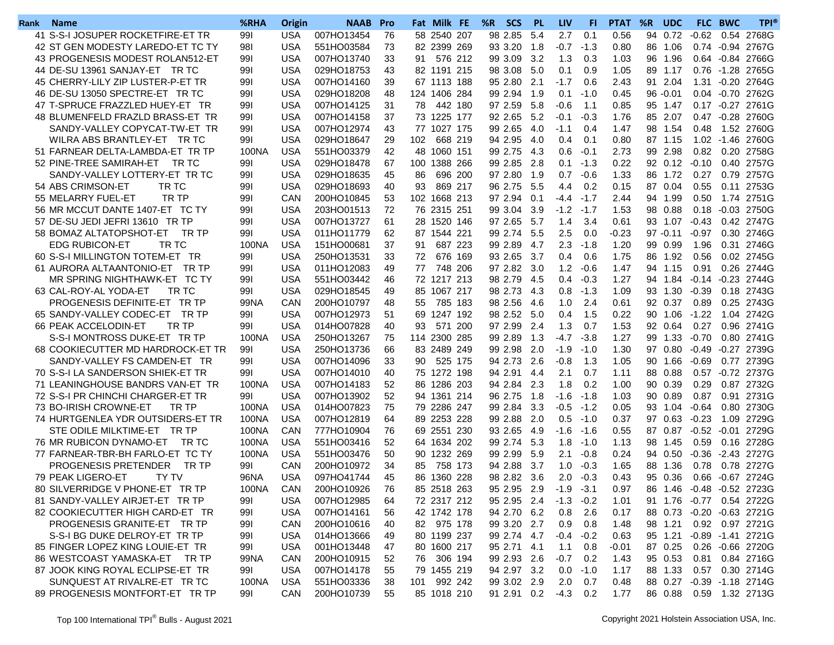| Rank | <b>Name</b>                       | %RHA  | Origin     | <b>NAAB</b> Pro |    |     | Fat Milk FE  |         | %R SCS      | - PL   | <b>LIV</b>     | FL.    | <b>PTAT</b> | %R | <b>UDC</b>  |                   | FLC BWC | <b>TPI®</b>                 |
|------|-----------------------------------|-------|------------|-----------------|----|-----|--------------|---------|-------------|--------|----------------|--------|-------------|----|-------------|-------------------|---------|-----------------------------|
|      | 41 S-S-I JOSUPER ROCKETFIRE-ET TR | 991   | <b>USA</b> | 007HO13454      | 76 |     | 58 2540 207  |         | 98 2.85     | 5.4    | 2.7            | 0.1    | 0.56        |    |             | 94 0.72 -0.62     | 0.54    | 2768G                       |
|      | 42 ST GEN MODESTY LAREDO-ET TC TY | 981   | <b>USA</b> | 551HO03584      | 73 |     | 82 2399 269  |         | 93 3.20     | 1.8    | $-0.7 -1.3$    |        | 0.80        |    | 86 1.06     |                   |         | 0.74 - 0.94 2767G           |
|      | 43 PROGENESIS MODEST ROLAN512-ET  | 991   | <b>USA</b> | 007HO13740      | 33 | 91  | 576 212      |         | 99 3.09 3.2 |        | 1.3            | 0.3    | 1.03        | 96 | 1.96        |                   |         | 0.64 - 0.84 2766G           |
|      | 44 DE-SU 13961 SANJAY-ET TR TC    | 991   | <b>USA</b> | 029HO18753      | 43 |     | 82 1191 215  |         | 98 3.08 5.0 |        | 0.1            | 0.9    | 1.05        |    | 89 1.17     |                   |         | 0.76 -1.28 2765G            |
|      | 45 CHERRY-LILY ZIP LUSTER-P-ET TR | 991   | <b>USA</b> | 007HO14160      | 39 |     | 67 1113 188  |         | 95 2.80 2.1 |        | $-1.7$         | 0.6    | 2.43        |    | 91 2.04     |                   |         | 1.31 - 0.20 2764G           |
|      | 46 DE-SU 13050 SPECTRE-ET TR TC   | 991   | <b>USA</b> | 029HO18208      | 48 |     | 124 1406 284 |         | 99 2.94     | 1.9    | 0.1            | $-1.0$ | 0.45        |    | $96 - 0.01$ |                   |         | 0.04 - 0.70 2762G           |
|      | 47 T-SPRUCE FRAZZLED HUEY-ET TR   | 991   | <b>USA</b> | 007HO14125      | 31 | 78  | 442 180      |         | 97 2.59     | 5.8    | $-0.6$         | 1.1    | 0.85        |    | 95 1.47     |                   |         | 0.17 -0.27 2761G            |
|      | 48 BLUMENFELD FRAZLD BRASS-ET TR  | 991   | <b>USA</b> | 007HO14158      | 37 |     | 73 1225 177  |         | 92 2.65     | 5.2    | $-0.1$         | $-0.3$ | 1.76        |    | 85 2.07     |                   |         | 0.47 -0.28 2760G            |
|      | SANDY-VALLEY COPYCAT-TW-ET TR     | 991   | USA        | 007HO12974      | 43 |     | 77 1027 175  |         | 99 2.65     | 4.0    | $-1.1$         | 0.4    | 1.47        |    | 98 1.54     | 0.48              |         | 1.52 2760G                  |
|      | WILRA ABS BRANTLEY-ET TR TC       | 991   | <b>USA</b> | 029HO18647      | 29 | 102 | 668 219      |         | 94 2.95     | - 4.0  | 0.4            | 0.1    | 0.80        |    | 87 1.15     |                   |         | 1.02 -1.46 2760G            |
|      | 51 FARNEAR DELTA-LAMBDA-ET TR TP  | 100NA | USA        | 551HO03379      | 42 |     | 48 1060 151  |         | 99 2.75 4.3 |        | 0.6            | $-0.1$ | 2.73        |    | 99 2.98     |                   |         | 0.82 0.20 2758G             |
|      | 52 PINE-TREE SAMIRAH-ET TR TC     | 991   | <b>USA</b> | 029HO18478      | 67 | 100 | 1388 266     |         | 99 2.85     | 2.8    | 0.1            | $-1.3$ | 0.22        |    |             | $92$ 0.12 $-0.10$ |         | 0.40 2757G                  |
|      | SANDY-VALLEY LOTTERY-ET TR TC     | 991   | <b>USA</b> | 029HO18635      | 45 | 86  | 696 200      |         | 97 2.80     | $-1.9$ | 0.7            | $-0.6$ | 1.33        |    | 86 1.72     | 0.27              |         | 0.79 2757G                  |
|      | 54 ABS CRIMSON-ET<br>TR TC        | 991   | <b>USA</b> | 029HO18693      | 40 | 93  | 869 217      |         | 96 2.75     | 5.5    | 4.4            | 0.2    | 0.15        |    | 87 0.04     | 0.55              |         | 0.11 2753G                  |
|      | 55 MELARRY FUEL-ET<br>TR TP       | 991   | CAN        | 200HO10845      | 53 | 102 | 1668 213     |         | 97 2.94     | 0.1    | $-4.4$         | $-1.7$ | 2.44        |    | 94 1.99     | 0.50              |         | 1.74 2751G                  |
|      | 56 MR MCCUT DANTE 1407-ET TC TY   | 991   | <b>USA</b> | 203HO01513      | 72 |     | 76 2315 251  |         | 99 3.04     | 3.9    | $-1.2 -1.7$    |        | 1.53        |    | 98 0.88     |                   |         | 0.18 -0.03 2750G            |
|      | 57 DE-SU JEDI JEFRI 13610 TR TP   | 991   | <b>USA</b> | 007HO13727      | 61 |     | 28 1520 146  |         | 97 2.65     | 5.7    | 1.4            | 3.4    | 0.61        |    |             | 93 1.07 -0.43     |         | 0.42 2747G                  |
|      | 58 BOMAZ ALTATOPSHOT-ET<br>TR TP  | 991   | <b>USA</b> | 011HO11779      | 62 |     | 87 1544 221  |         | 99 2.74     | 5.5    | 2.5            | 0.0    | $-0.23$     |    | $97 - 0.11$ | $-0.97$           |         | 0.30 2746G                  |
|      | <b>EDG RUBICON-ET</b><br>TR TC    | 100NA | <b>USA</b> | 151HO00681      | 37 | 91  | 687 223      |         | 99 2.89     | 4.7    | 2.3            | -1.8   | 1.20        |    | 99 0.99     | 1.96              |         | 0.31 2746G                  |
|      | 60 S-S-I MILLINGTON TOTEM-ET TR   | 991   | <b>USA</b> | 250HO13531      | 33 | 72  | 676 169      |         | 93 2.65     | 3.7    | 0.4            | 0.6    | 1.75        |    | 86 1.92     | 0.56              |         | 0.02 2745G                  |
|      | 61 AURORA ALTAANTONIO-ET TR TP    | 991   | <b>USA</b> | 011HO12083      | 49 | 77  | 748 206      |         | 97 2.82     | 3.0    | 1.2            | $-0.6$ | 1.47        |    | 94 1.15     | 0.91              |         | 0.26 2744G                  |
|      | MR SPRING NIGHTHAWK-ET TC TY      | 991   | USA        | 551HO03442      | 46 |     | 72 1217 213  |         | 98 2.79 4.5 |        | $0.4^{\circ}$  | -0.3   | 1.27        |    |             |                   |         | 94 1.84 - 0.14 - 0.23 2744G |
|      | 63 CAL-ROY-AL YODA-ET<br>TR TC    | 991   | <b>USA</b> | 029HO18545      | 49 |     | 85 1067 217  |         | 98 2.73 4.3 |        | $0.8 - 1.3$    |        | 1.09        |    | 93 1.30     | -0.39             |         | 0.18 2743G                  |
|      | PROGENESIS DEFINITE-ET TR TP      | 99NA  | CAN        | 200HO10797      | 48 | 55  | 785 183      |         | 98 2.56     | - 4.6  | 1.0            | 2.4    | 0.61        |    | 92 0.37     | 0.89              |         | 0.25 2743G                  |
|      | 65 SANDY-VALLEY CODEC-ET TR TP    | 991   | <b>USA</b> | 007HO12973      | 51 |     | 69 1247 192  |         | 98 2.52     | 5.0    | 0.4            | -1.5   | 0.22        |    | 90 1.06     | $-1.22$           |         | 1.04 2742G                  |
|      | 66 PEAK ACCELODIN-ET<br>TR TP     | 991   | <b>USA</b> | 014HO07828      | 40 | 93  |              | 571 200 | 97 2.99     | 2.4    | 1.3            | 0.7    | 1.53        |    | 92 0.64     | 0.27              |         | 0.96 2741G                  |
|      | S-S-I MONTROSS DUKE-ET TR TP      | 100NA | <b>USA</b> | 250HO13267      | 75 | 114 | 2300 285     |         | 99 2.89     | 1.3    | -4.7           | $-3.8$ | 1.27        |    |             | 99 1.33 -0.70     |         | 0.80 2741G                  |
|      | 68 COOKIECUTTER MD HARDROCK-ET TR | 991   | <b>USA</b> | 250HO13736      | 66 |     | 83 2489 249  |         | 99 2.98     | 2.0    | $-1.9$         | $-1.0$ | 1.30        |    | 97 0.80     | -0.49             |         | -0.27 2739G                 |
|      | SANDY-VALLEY FS CAMDEN-ET TR      | 991   | <b>USA</b> | 007HO14096      | 33 | 90  |              | 525 175 | 94 2.73     | 2.6    | $-0.8$         | 1.3    | 1.05        |    | 90 1.66     | -0.69             |         | 0.77 2739G                  |
|      | 70 S-S-I LA SANDERSON SHIEK-ET TR | 991   | <b>USA</b> | 007HO14010      | 40 |     | 75 1272 198  |         | 94 2.91     | 4.4    | 2.1            | 0.7    | 1.11        |    | 88 0.88     |                   |         | 0.57 -0.72 2737G            |
|      | 71 LEANINGHOUSE BANDRS VAN-ET TR  | 100NA | <b>USA</b> | 007HO14183      | 52 | 86  | 1286 203     |         | 94 2.84     | 2.3    | 1.8            | 0.2    | 1.00        |    | 90 0.39     | 0.29              |         | 0.87 2732G                  |
|      | 72 S-S-I PR CHINCHI CHARGER-ET TR | 991   | <b>USA</b> | 007HO13902      | 52 |     | 94 1361 214  |         | 96 2.75     | 1.8    | $-1.6$         | -1.8   | 1.03        |    | 90 0.89     | 0.87              |         | 0.91 2731G                  |
|      | 73 BO-IRISH CROWNE-ET<br>TR TP    | 100NA | <b>USA</b> | 014HO07823      | 75 |     | 79 2286 247  |         | 99 2.84     | 3.3    | -0.5           | -1.2   | 0.05        |    | 93 1.04     | -0.64             |         | 0.80 2730G                  |
|      | 74 HURTGENLEA YDR OUTSIDERS-ET TR | 100NA | <b>USA</b> | 007HO12819      | 64 |     | 89 2253 228  |         | 99 2.88     | 2.0    | 0.5            | $-1.0$ | 0.37        |    | 97 0.63     | $-0.23$           |         | 1.09 2729G                  |
|      | STE ODILE MILKTIME-ET TR TP       | 100NA | CAN        | 777HO10904      | 76 |     | 69 2551 230  |         | 93 2.65 4.9 |        | $-1.6 - 1.6$   |        | 0.55        |    |             |                   |         | 87 0.87 -0.52 -0.01 2729G   |
|      | 76 MR RUBICON DYNAMO-ET TR TC     | 100NA | <b>USA</b> | 551HO03416      | 52 |     | 64 1634 202  |         | 99 2.74     | 5.3    | 1.8            | -1.0   | 1.13        |    | 98 1.45     | 0.59              |         | 0.16 2728G                  |
|      | 77 FARNEAR-TBR-BH FARLO-ET TC TY  | 100NA | <b>USA</b> | 551HO03476      | 50 |     | 90 1232 269  |         | 99 2.99     | 5.9    | 2.1            | $-0.8$ | 0.24        |    | 94 0.50     | $-0.36$           |         | -2.43 2727G                 |
|      | PROGENESIS PRETENDER<br>TR TP     | 991   | CAN        | 200HO10972      | 34 | 85  | 758 173      |         | 94 2.88     | 3.7    | 1.0            | $-0.3$ | 1.65        |    | 88 1.36     | 0.78              |         | 0.78 2727G                  |
|      | 79 PEAK LIGERO-ET<br><b>TY TV</b> | 96NA  | <b>USA</b> | 097HO41744      | 45 |     | 86 1360 228  |         | 98 2.82     | 3.6    | 2.0            | $-0.3$ | 0.43        |    | 95 0.36     |                   |         | 0.66 - 0.67 2724G           |
|      | 80 SILVERRIDGE V PHONE-ET TR TP   | 100NA | CAN        | 200HO10926      | 76 |     | 85 2518 263  |         | 95 2.95 2.9 |        | $-1.9 -3.1$    |        | 0.97        |    |             |                   |         | 86 1.46 -0.48 -0.52 2723G   |
|      | 81 SANDY-VALLEY AIRJET-ET TR TP   | 991   | USA        | 007HO12985      | 64 |     | 72 2317 212  |         | 95 2.95 2.4 |        | $-1.3 -0.2$    |        | 1.01        |    |             |                   |         | 91 1.76 -0.77 0.54 2722G    |
|      | 82 COOKIECUTTER HIGH CARD-ET TR   | 991   | <b>USA</b> | 007HO14161      | 56 |     | 42 1742 178  |         | 94 2.70 6.2 |        | 0.8            | -2.6   | 0.17        |    |             |                   |         | 88 0.73 -0.20 -0.63 2721G   |
|      | PROGENESIS GRANITE-ET TR TP       | 991   | CAN        | 200HO10616      | 40 |     | 82 975 178   |         | 99 3.20 2.7 |        | 0.9            | 0.8    | 1.48        |    | 98 1.21     |                   |         | 0.92 0.97 2721G             |
|      | S-S-I BG DUKE DELROY-ET TR TP     | 991   | <b>USA</b> | 014HO13666      | 49 |     | 80 1199 237  |         | 99 2.74 4.7 |        | $-0.4 -0.2$    |        | 0.63        |    |             |                   |         | 95 1.21 -0.89 -1.41 2721G   |
|      | 85 FINGER LOPEZ KING LOUIE-ET TR  | 991   | <b>USA</b> | 001HO13448      | 47 |     | 80 1600 217  |         | 95 2.71 4.1 |        | 1.1            | 0.8    | $-0.01$     |    | 87 0.25     |                   |         | 0.26 -0.66 2720G            |
|      | 86 WESTCOAST YAMASKA-ET TR TP     | 99NA  | CAN        | 200HO10915      | 52 | 76  | 306 194      |         | 99 2.93 2.6 |        | $-0.7$ 0.2     |        | 1.43        |    | 95 0.53     |                   |         | 0.81  0.84  2716G           |
|      | 87 JOOK KING ROYAL ECLIPSE-ET TR  | 99I   | <b>USA</b> | 007HO14178      | 55 |     | 79 1455 219  |         | 94 2.97 3.2 |        | $0.0 - 1.0$    |        | 1.17        |    | 88 1.33     |                   |         | 0.57  0.30  2714G           |
|      | SUNQUEST AT RIVALRE-ET TR TC      | 100NA | <b>USA</b> | 551HO03336      | 38 | 101 | 992 242      |         | 99 3.02 2.9 |        | $2.0\quad 0.7$ |        | 0.48        |    |             |                   |         | 88 0.27 -0.39 -1.18 2714G   |
|      | 89 PROGENESIS MONTFORT-ET TR TP   | 991   | CAN        | 200HO10739      | 55 |     | 85 1018 210  |         | 91 2.91 0.2 |        | $-4.3$ 0.2     |        | 1.77        |    |             |                   |         | 86 0.88 0.59 1.32 2713G     |